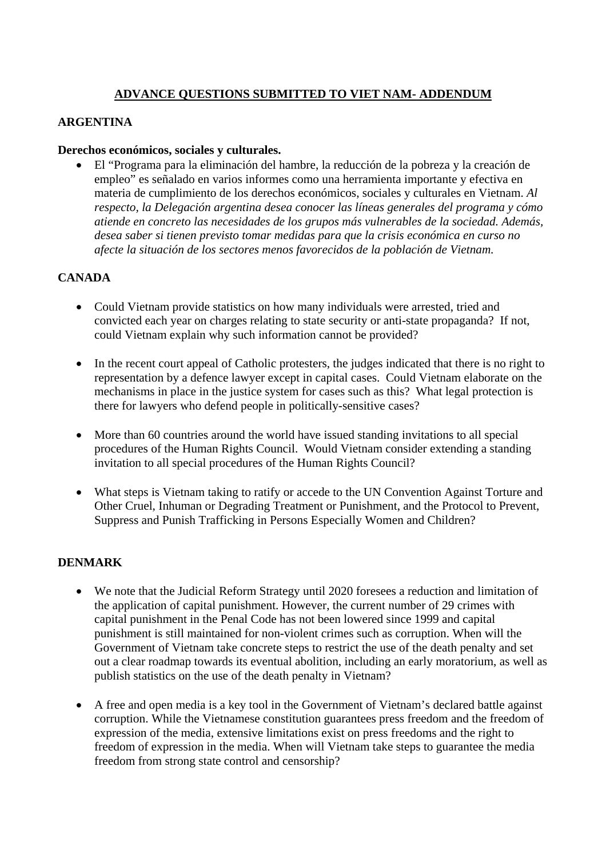# **ADVANCE QUESTIONS SUBMITTED TO VIET NAM- ADDENDUM**

## **ARGENTINA**

#### **Derechos económicos, sociales y culturales.**

• El "Programa para la eliminación del hambre, la reducción de la pobreza y la creación de empleo" es señalado en varios informes como una herramienta importante y efectiva en materia de cumplimiento de los derechos económicos, sociales y culturales en Vietnam. *Al respecto, la Delegación argentina desea conocer las líneas generales del programa y cómo atiende en concreto las necesidades de los grupos más vulnerables de la sociedad. Además, desea saber si tienen previsto tomar medidas para que la crisis económica en curso no afecte la situación de los sectores menos favorecidos de la población de Vietnam.* 

### **CANADA**

- Could Vietnam provide statistics on how many individuals were arrested, tried and convicted each year on charges relating to state security or anti-state propaganda? If not, could Vietnam explain why such information cannot be provided?
- In the recent court appeal of Catholic protesters, the judges indicated that there is no right to representation by a defence lawyer except in capital cases. Could Vietnam elaborate on the mechanisms in place in the justice system for cases such as this? What legal protection is there for lawyers who defend people in politically-sensitive cases?
- More than 60 countries around the world have issued standing invitations to all special procedures of the Human Rights Council. Would Vietnam consider extending a standing invitation to all special procedures of the Human Rights Council?
- What steps is Vietnam taking to ratify or accede to the UN Convention Against Torture and Other Cruel, Inhuman or Degrading Treatment or Punishment, and the Protocol to Prevent, Suppress and Punish Trafficking in Persons Especially Women and Children?

### **DENMARK**

- We note that the Judicial Reform Strategy until 2020 foresees a reduction and limitation of the application of capital punishment. However, the current number of 29 crimes with capital punishment in the Penal Code has not been lowered since 1999 and capital punishment is still maintained for non-violent crimes such as corruption. When will the Government of Vietnam take concrete steps to restrict the use of the death penalty and set out a clear roadmap towards its eventual abolition, including an early moratorium, as well as publish statistics on the use of the death penalty in Vietnam?
- A free and open media is a key tool in the Government of Vietnam's declared battle against corruption. While the Vietnamese constitution guarantees press freedom and the freedom of expression of the media, extensive limitations exist on press freedoms and the right to freedom of expression in the media. When will Vietnam take steps to guarantee the media freedom from strong state control and censorship?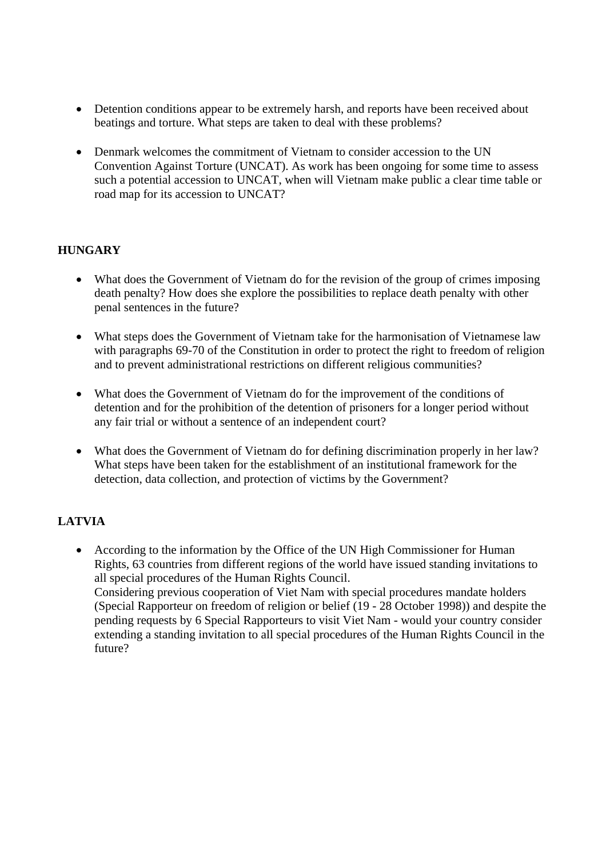- Detention conditions appear to be extremely harsh, and reports have been received about beatings and torture. What steps are taken to deal with these problems?
- Denmark welcomes the commitment of Vietnam to consider accession to the UN Convention Against Torture (UNCAT). As work has been ongoing for some time to assess such a potential accession to UNCAT, when will Vietnam make public a clear time table or road map for its accession to UNCAT?

### **HUNGARY**

- What does the Government of Vietnam do for the revision of the group of crimes imposing death penalty? How does she explore the possibilities to replace death penalty with other penal sentences in the future?
- What steps does the Government of Vietnam take for the harmonisation of Vietnamese law with paragraphs 69-70 of the Constitution in order to protect the right to freedom of religion and to prevent administrational restrictions on different religious communities?
- What does the Government of Vietnam do for the improvement of the conditions of detention and for the prohibition of the detention of prisoners for a longer period without any fair trial or without a sentence of an independent court?
- What does the Government of Vietnam do for defining discrimination properly in her law? What steps have been taken for the establishment of an institutional framework for the detection, data collection, and protection of victims by the Government?

## **LATVIA**

• According to the information by the Office of the UN High Commissioner for Human Rights, 63 countries from different regions of the world have issued standing invitations to all special procedures of the Human Rights Council. Considering previous cooperation of Viet Nam with special procedures mandate holders (Special Rapporteur on freedom of religion or belief (19 - 28 October 1998)) and despite the pending requests by 6 Special Rapporteurs to visit Viet Nam - would your country consider extending a standing invitation to all special procedures of the Human Rights Council in the future?